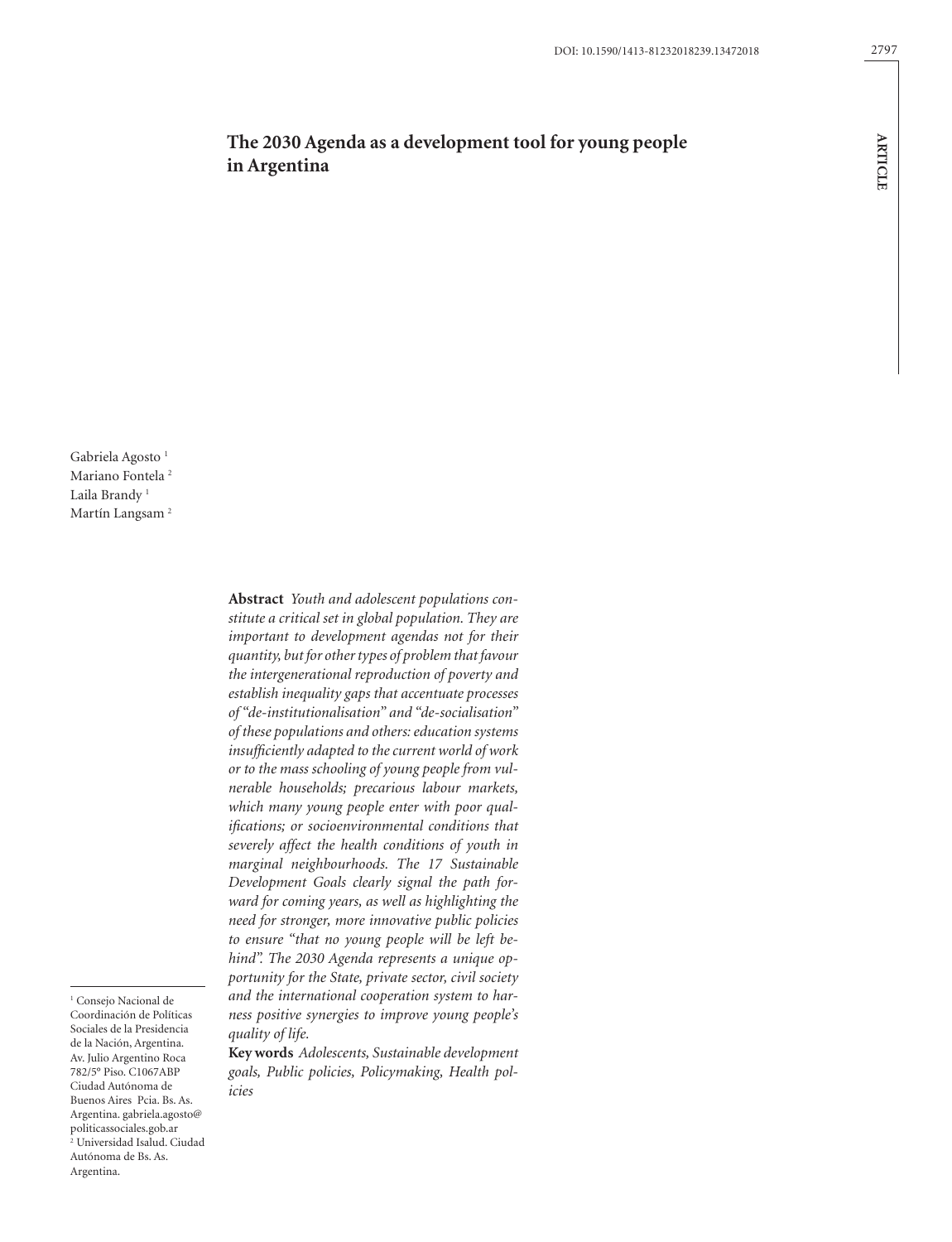**ARTICLE**

**ARTICLE** 

# **The 2030 Agenda as a development tool for young people in Argentina**

Gabriela Agosto<sup>1</sup> Mariano Fontela<sup>2</sup> Laila Brandy<sup>1</sup> Martín Langsam<sup>2</sup>

<sup>1</sup> Consejo Nacional de Coordinación de Políticas Sociales de la Presidencia de la Nación, Argentina. Av. Julio Argentino Roca 782/5° Piso. C1067ABP Ciudad Autónoma de Buenos Aires Pcia. Bs. As. Argentina. gabriela.agosto@ politicassociales.gob.ar 2 Universidad Isalud. Ciudad Autónoma de Bs. As. Argentina.

**Abstract** *Youth and adolescent populations constitute a critical set in global population. They are important to development agendas not for their quantity, but for other types of problem that favour the intergenerational reproduction of poverty and establish inequality gaps that accentuate processes of "de-institutionalisation" and "de-socialisation" of these populations and others: education systems insufficiently adapted to the current world of work or to the mass schooling of young people from vulnerable households; precarious labour markets, which many young people enter with poor qualifications; or socioenvironmental conditions that severely affect the health conditions of youth in marginal neighbourhoods. The 17 Sustainable Development Goals clearly signal the path forward for coming years, as well as highlighting the need for stronger, more innovative public policies to ensure "that no young people will be left behind". The 2030 Agenda represents a unique opportunity for the State, private sector, civil society and the international cooperation system to harness positive synergies to improve young people's quality of life.*

**Key words** *Adolescents, Sustainable development goals, Public policies, Policymaking, Health policies*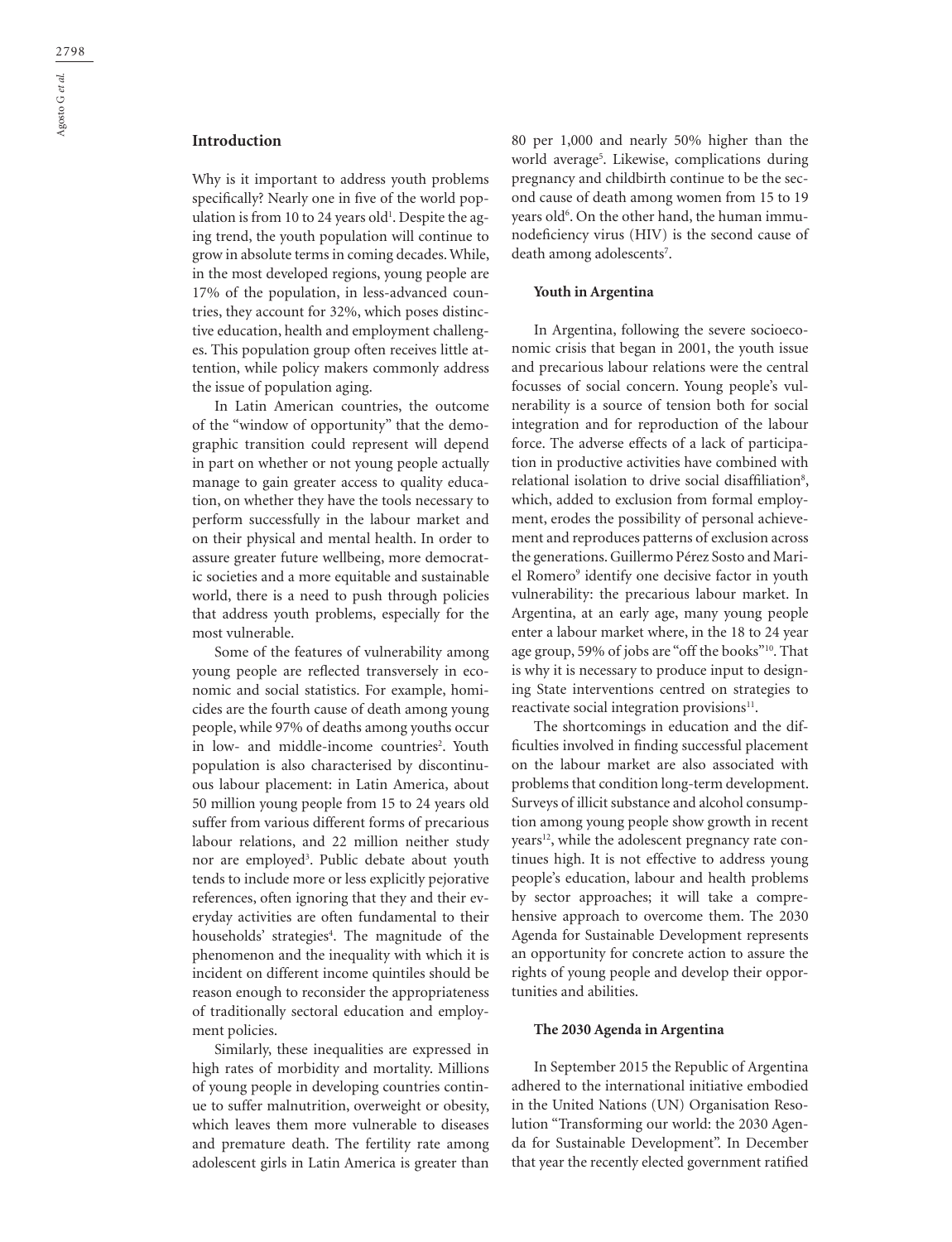# **Introduction**

Why is it important to address youth problems specifically? Nearly one in five of the world population is from 10 to 24 years old<sup>1</sup>. Despite the aging trend, the youth population will continue to grow in absolute terms in coming decades. While, in the most developed regions, young people are 17% of the population, in less-advanced countries, they account for 32%, which poses distinctive education, health and employment challenges. This population group often receives little attention, while policy makers commonly address the issue of population aging.

In Latin American countries, the outcome of the "window of opportunity" that the demographic transition could represent will depend in part on whether or not young people actually manage to gain greater access to quality education, on whether they have the tools necessary to perform successfully in the labour market and on their physical and mental health. In order to assure greater future wellbeing, more democratic societies and a more equitable and sustainable world, there is a need to push through policies that address youth problems, especially for the most vulnerable.

Some of the features of vulnerability among young people are reflected transversely in economic and social statistics. For example, homicides are the fourth cause of death among young people, while 97% of deaths among youths occur in low- and middle-income countries<sup>2</sup>. Youth population is also characterised by discontinuous labour placement: in Latin America, about 50 million young people from 15 to 24 years old suffer from various different forms of precarious labour relations, and 22 million neither study nor are employed<sup>3</sup>. Public debate about youth tends to include more or less explicitly pejorative references, often ignoring that they and their everyday activities are often fundamental to their households' strategies<sup>4</sup>. The magnitude of the phenomenon and the inequality with which it is incident on different income quintiles should be reason enough to reconsider the appropriateness of traditionally sectoral education and employment policies.

Similarly, these inequalities are expressed in high rates of morbidity and mortality. Millions of young people in developing countries continue to suffer malnutrition, overweight or obesity, which leaves them more vulnerable to diseases and premature death. The fertility rate among adolescent girls in Latin America is greater than

80 per 1,000 and nearly 50% higher than the world average5 . Likewise, complications during pregnancy and childbirth continue to be the second cause of death among women from 15 to 19 years old<sup>6</sup>. On the other hand, the human immunodeficiency virus (HIV) is the second cause of death among adolescents<sup>7</sup>.

#### **Youth in Argentina**

In Argentina, following the severe socioeconomic crisis that began in 2001, the youth issue and precarious labour relations were the central focusses of social concern. Young people's vulnerability is a source of tension both for social integration and for reproduction of the labour force. The adverse effects of a lack of participation in productive activities have combined with relational isolation to drive social disaffiliation<sup>8</sup>, which, added to exclusion from formal employment, erodes the possibility of personal achievement and reproduces patterns of exclusion across the generations. Guillermo Pérez Sosto and Mariel Romero<sup>9</sup> identify one decisive factor in youth vulnerability: the precarious labour market. In Argentina, at an early age, many young people enter a labour market where, in the 18 to 24 year age group, 59% of jobs are "off the books"10. That is why it is necessary to produce input to designing State interventions centred on strategies to reactivate social integration provisions<sup>11</sup>.

The shortcomings in education and the difficulties involved in finding successful placement on the labour market are also associated with problems that condition long-term development. Surveys of illicit substance and alcohol consumption among young people show growth in recent years<sup>12</sup>, while the adolescent pregnancy rate continues high. It is not effective to address young people's education, labour and health problems by sector approaches; it will take a comprehensive approach to overcome them. The 2030 Agenda for Sustainable Development represents an opportunity for concrete action to assure the rights of young people and develop their opportunities and abilities.

#### **The 2030 Agenda in Argentina**

In September 2015 the Republic of Argentina adhered to the international initiative embodied in the United Nations (UN) Organisation Resolution "Transforming our world: the 2030 Agenda for Sustainable Development". In December that year the recently elected government ratified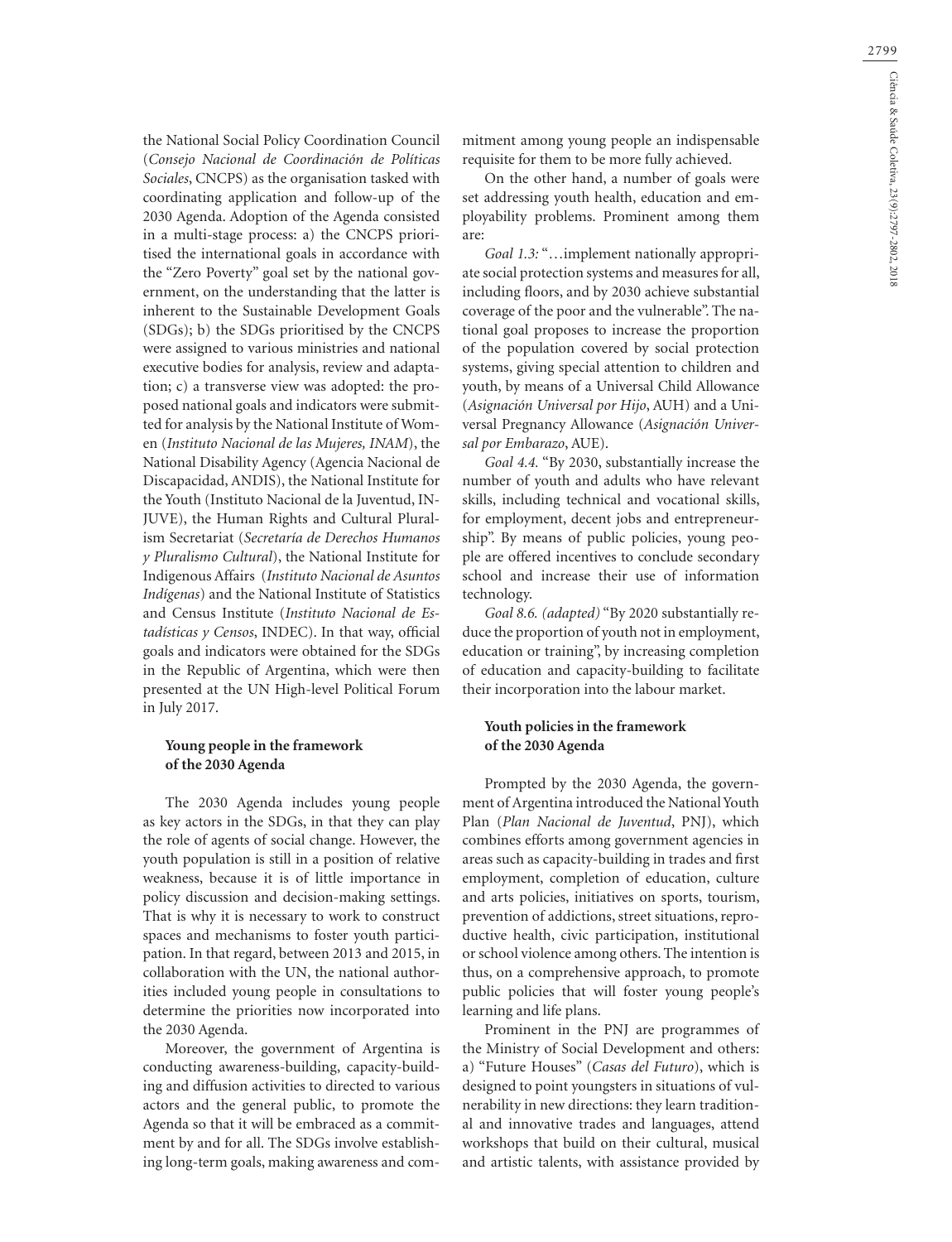the National Social Policy Coordination Council (*Consejo Nacional de Coordinación de Políticas Sociales*, CNCPS) as the organisation tasked with coordinating application and follow-up of the 2030 Agenda. Adoption of the Agenda consisted in a multi-stage process: a) the CNCPS prioritised the international goals in accordance with the "Zero Poverty" goal set by the national government, on the understanding that the latter is inherent to the Sustainable Development Goals (SDGs); b) the SDGs prioritised by the CNCPS were assigned to various ministries and national executive bodies for analysis, review and adaptation; c) a transverse view was adopted: the proposed national goals and indicators were submitted for analysis by the National Institute of Women (*Instituto Nacional de las Mujeres, INAM*), the National Disability Agency (Agencia Nacional de Discapacidad, ANDIS), the National Institute for the Youth (Instituto Nacional de la Juventud, IN-JUVE), the Human Rights and Cultural Pluralism Secretariat (*Secretaría de Derechos Humanos y Pluralismo Cultural*), the National Institute for Indigenous Affairs (*Instituto Nacional de Asuntos Indígenas*) and the National Institute of Statistics and Census Institute (*Instituto Nacional de Estadísticas y Censos*, INDEC). In that way, official goals and indicators were obtained for the SDGs in the Republic of Argentina, which were then presented at the UN High-level Political Forum in July 2017.

# **Young people in the framework of the 2030 Agenda**

The 2030 Agenda includes young people as key actors in the SDGs, in that they can play the role of agents of social change. However, the youth population is still in a position of relative weakness, because it is of little importance in policy discussion and decision-making settings. That is why it is necessary to work to construct spaces and mechanisms to foster youth participation. In that regard, between 2013 and 2015, in collaboration with the UN, the national authorities included young people in consultations to determine the priorities now incorporated into the 2030 Agenda.

Moreover, the government of Argentina is conducting awareness-building, capacity-building and diffusion activities to directed to various actors and the general public, to promote the Agenda so that it will be embraced as a commitment by and for all. The SDGs involve establishing long-term goals, making awareness and commitment among young people an indispensable requisite for them to be more fully achieved.

On the other hand, a number of goals were set addressing youth health, education and employability problems. Prominent among them are:

*Goal 1.3:* "…implement nationally appropriate social protection systems and measures for all, including floors, and by 2030 achieve substantial coverage of the poor and the vulnerable". The national goal proposes to increase the proportion of the population covered by social protection systems, giving special attention to children and youth, by means of a Universal Child Allowance (*Asignación Universal por Hijo*, AUH) and a Universal Pregnancy Allowance (*Asignación Universal por Embarazo*, AUE).

*Goal 4.4.* "By 2030, substantially increase the number of youth and adults who have relevant skills, including technical and vocational skills, for employment, decent jobs and entrepreneurship". By means of public policies, young people are offered incentives to conclude secondary school and increase their use of information technology.

*Goal 8.6. (adapted)* "By 2020 substantially reduce the proportion of youth not in employment, education or training", by increasing completion of education and capacity-building to facilitate their incorporation into the labour market.

### **Youth policies in the framework of the 2030 Agenda**

Prompted by the 2030 Agenda, the government of Argentina introduced the National Youth Plan (*Plan Nacional de Juventud*, PNJ), which combines efforts among government agencies in areas such as capacity-building in trades and first employment, completion of education, culture and arts policies, initiatives on sports, tourism, prevention of addictions, street situations, reproductive health, civic participation, institutional or school violence among others. The intention is thus, on a comprehensive approach, to promote public policies that will foster young people's learning and life plans.

Prominent in the PNJ are programmes of the Ministry of Social Development and others: a) "Future Houses" (*Casas del Futuro*), which is designed to point youngsters in situations of vulnerability in new directions: they learn traditional and innovative trades and languages, attend workshops that build on their cultural, musical and artistic talents, with assistance provided by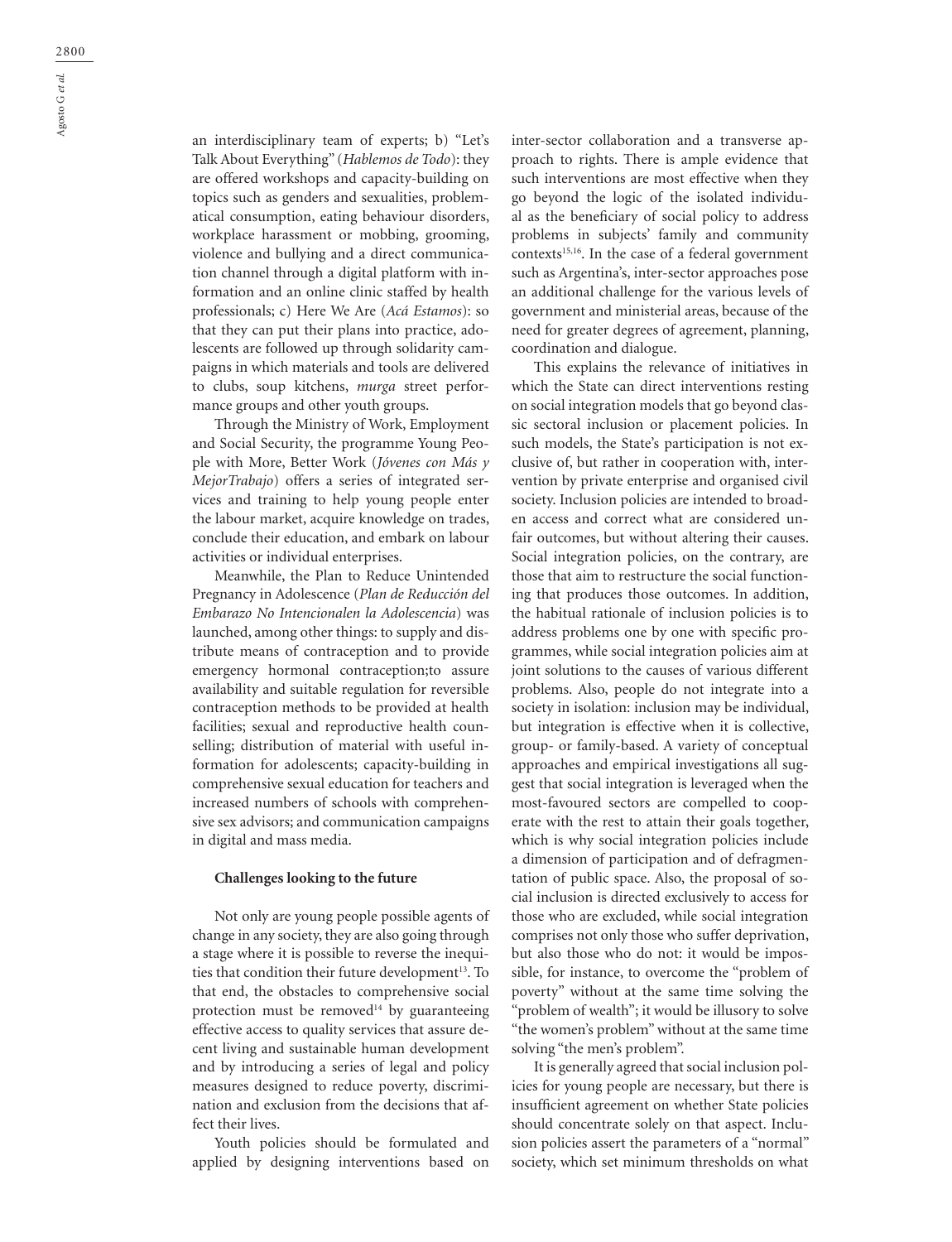an interdisciplinary team of experts; b) "Let's Talk About Everything" (*Hablemos de Todo*): they are offered workshops and capacity-building on topics such as genders and sexualities, problematical consumption, eating behaviour disorders, workplace harassment or mobbing, grooming, violence and bullying and a direct communication channel through a digital platform with information and an online clinic staffed by health professionals; c) Here We Are (*Acá Estamos*): so that they can put their plans into practice, adolescents are followed up through solidarity campaigns in which materials and tools are delivered to clubs, soup kitchens, *murga* street performance groups and other youth groups.

Through the Ministry of Work, Employment and Social Security, the programme Young People with More, Better Work (*Jóvenes con Más y MejorTrabajo*) offers a series of integrated services and training to help young people enter the labour market, acquire knowledge on trades, conclude their education, and embark on labour activities or individual enterprises.

Meanwhile, the Plan to Reduce Unintended Pregnancy in Adolescence (*Plan de Reducción del Embarazo No Intencionalen la Adolescencia*) was launched, among other things: to supply and distribute means of contraception and to provide emergency hormonal contraception;to assure availability and suitable regulation for reversible contraception methods to be provided at health facilities; sexual and reproductive health counselling; distribution of material with useful information for adolescents; capacity-building in comprehensive sexual education for teachers and increased numbers of schools with comprehensive sex advisors; and communication campaigns in digital and mass media.

#### **Challenges looking to the future**

Not only are young people possible agents of change in any society, they are also going through a stage where it is possible to reverse the inequities that condition their future development<sup>13</sup>. To that end, the obstacles to comprehensive social protection must be removed<sup>14</sup> by guaranteeing effective access to quality services that assure decent living and sustainable human development and by introducing a series of legal and policy measures designed to reduce poverty, discrimination and exclusion from the decisions that affect their lives.

Youth policies should be formulated and applied by designing interventions based on inter-sector collaboration and a transverse approach to rights. There is ample evidence that such interventions are most effective when they go beyond the logic of the isolated individual as the beneficiary of social policy to address problems in subjects' family and community contexts<sup>15,16</sup>. In the case of a federal government such as Argentina's, inter-sector approaches pose an additional challenge for the various levels of government and ministerial areas, because of the need for greater degrees of agreement, planning, coordination and dialogue.

This explains the relevance of initiatives in which the State can direct interventions resting on social integration models that go beyond classic sectoral inclusion or placement policies. In such models, the State's participation is not exclusive of, but rather in cooperation with, intervention by private enterprise and organised civil society. Inclusion policies are intended to broaden access and correct what are considered unfair outcomes, but without altering their causes. Social integration policies, on the contrary, are those that aim to restructure the social functioning that produces those outcomes. In addition, the habitual rationale of inclusion policies is to address problems one by one with specific programmes, while social integration policies aim at joint solutions to the causes of various different problems. Also, people do not integrate into a society in isolation: inclusion may be individual, but integration is effective when it is collective, group- or family-based. A variety of conceptual approaches and empirical investigations all suggest that social integration is leveraged when the most-favoured sectors are compelled to cooperate with the rest to attain their goals together, which is why social integration policies include a dimension of participation and of defragmentation of public space. Also, the proposal of social inclusion is directed exclusively to access for those who are excluded, while social integration comprises not only those who suffer deprivation, but also those who do not: it would be impossible, for instance, to overcome the "problem of poverty" without at the same time solving the "problem of wealth"; it would be illusory to solve "the women's problem" without at the same time solving "the men's problem".

It is generally agreed that social inclusion policies for young people are necessary, but there is insufficient agreement on whether State policies should concentrate solely on that aspect. Inclusion policies assert the parameters of a "normal" society, which set minimum thresholds on what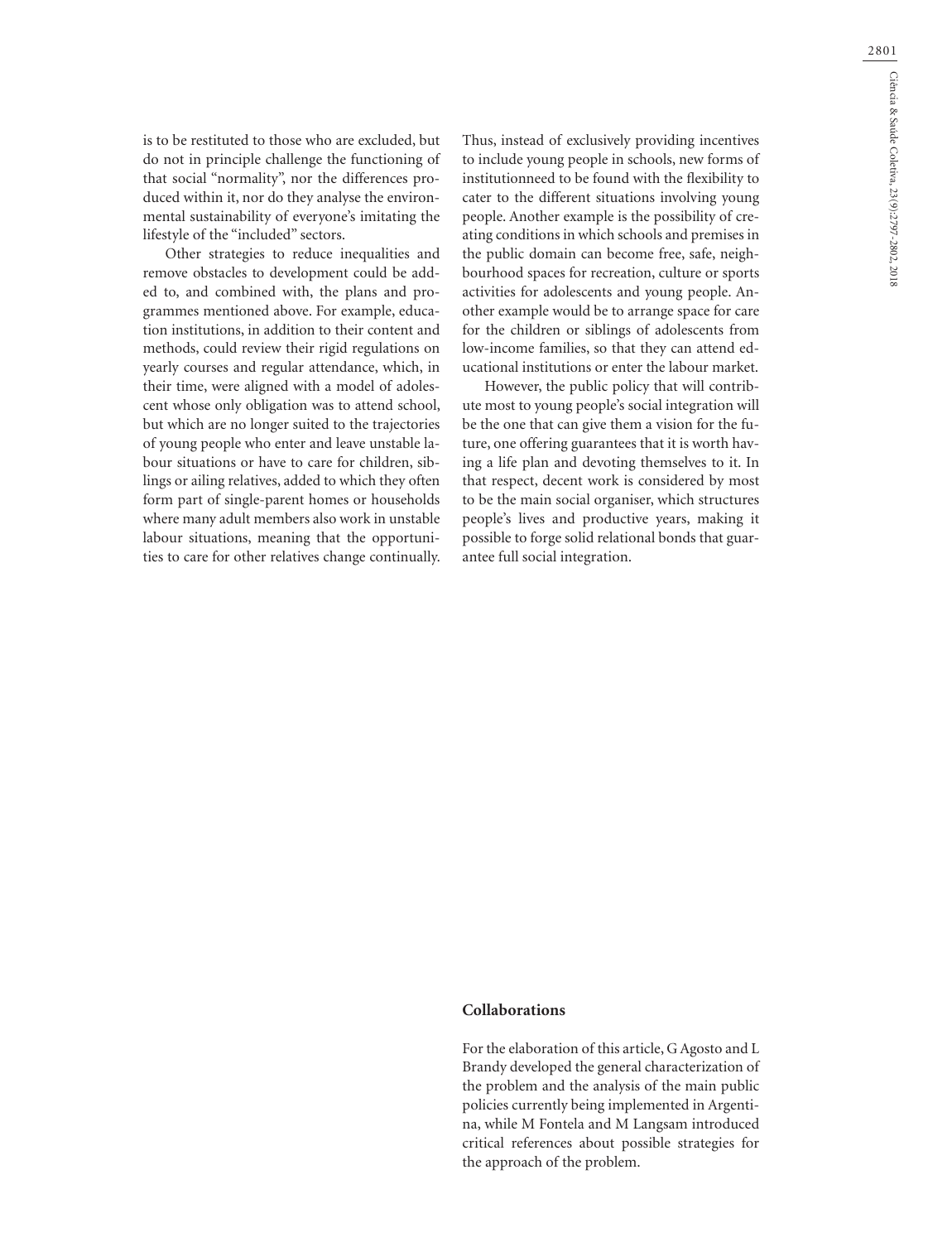is to be restituted to those who are excluded, but do not in principle challenge the functioning of that social "normality", nor the differences produced within it, nor do they analyse the environmental sustainability of everyone's imitating the lifestyle of the "included" sectors.

Other strategies to reduce inequalities and remove obstacles to development could be added to, and combined with, the plans and programmes mentioned above. For example, education institutions, in addition to their content and methods, could review their rigid regulations on yearly courses and regular attendance, which, in their time, were aligned with a model of adolescent whose only obligation was to attend school, but which are no longer suited to the trajectories of young people who enter and leave unstable labour situations or have to care for children, siblings or ailing relatives, added to which they often form part of single-parent homes or households where many adult members also work in unstable labour situations, meaning that the opportunities to care for other relatives change continually. Thus, instead of exclusively providing incentives to include young people in schools, new forms of institutionneed to be found with the flexibility to cater to the different situations involving young people. Another example is the possibility of creating conditions in which schools and premises in the public domain can become free, safe, neighbourhood spaces for recreation, culture or sports activities for adolescents and young people. Another example would be to arrange space for care for the children or siblings of adolescents from low-income families, so that they can attend educational institutions or enter the labour market.

However, the public policy that will contribute most to young people's social integration will be the one that can give them a vision for the future, one offering guarantees that it is worth having a life plan and devoting themselves to it. In that respect, decent work is considered by most to be the main social organiser, which structures people's lives and productive years, making it possible to forge solid relational bonds that guarantee full social integration.

### **Collaborations**

For the elaboration of this article, G Agosto and L Brandy developed the general characterization of the problem and the analysis of the main public policies currently being implemented in Argentina, while M Fontela and M Langsam introduced critical references about possible strategies for the approach of the problem.